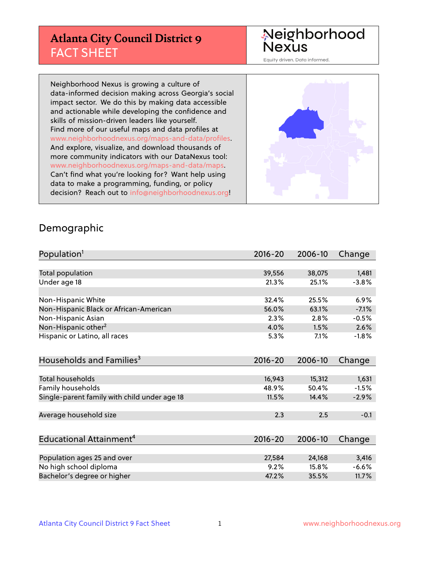# **Atlanta City Council District 9** FACT SHEET

#### Neighborhood Nexus

Equity driven. Data informed.

Neighborhood Nexus is growing a culture of data-informed decision making across Georgia's social impact sector. We do this by making data accessible and actionable while developing the confidence and skills of mission-driven leaders like yourself. Find more of our useful maps and data profiles at www.neighborhoodnexus.org/maps-and-data/profiles. And explore, visualize, and download thousands of more community indicators with our DataNexus tool: www.neighborhoodnexus.org/maps-and-data/maps. Can't find what you're looking for? Want help using data to make a programming, funding, or policy decision? Reach out to [info@neighborhoodnexus.org!](mailto:info@neighborhoodnexus.org)



#### Demographic

| Population <sup>1</sup>                      | $2016 - 20$ | 2006-10 | Change  |
|----------------------------------------------|-------------|---------|---------|
|                                              |             |         |         |
| Total population                             | 39,556      | 38,075  | 1,481   |
| Under age 18                                 | 21.3%       | 25.1%   | $-3.8%$ |
|                                              |             |         |         |
| Non-Hispanic White                           | 32.4%       | 25.5%   | 6.9%    |
| Non-Hispanic Black or African-American       | 56.0%       | 63.1%   | $-7.1%$ |
| Non-Hispanic Asian                           | 2.3%        | 2.8%    | $-0.5%$ |
| Non-Hispanic other <sup>2</sup>              | 4.0%        | 1.5%    | 2.6%    |
| Hispanic or Latino, all races                | 5.3%        | 7.1%    | $-1.8%$ |
|                                              |             |         |         |
| Households and Families <sup>3</sup>         | $2016 - 20$ | 2006-10 | Change  |
|                                              |             |         |         |
| <b>Total households</b>                      | 16,943      | 15,312  | 1,631   |
| Family households                            | 48.9%       | 50.4%   | $-1.5%$ |
| Single-parent family with child under age 18 | 11.5%       | 14.4%   | $-2.9%$ |
|                                              |             |         |         |
| Average household size                       | 2.3         | 2.5     | $-0.1$  |
|                                              |             |         |         |
| Educational Attainment <sup>4</sup>          | $2016 - 20$ | 2006-10 | Change  |
|                                              |             |         |         |
| Population ages 25 and over                  | 27,584      | 24,168  | 3,416   |
| No high school diploma                       | 9.2%        | 15.8%   | $-6.6%$ |
| Bachelor's degree or higher                  | 47.2%       | 35.5%   | 11.7%   |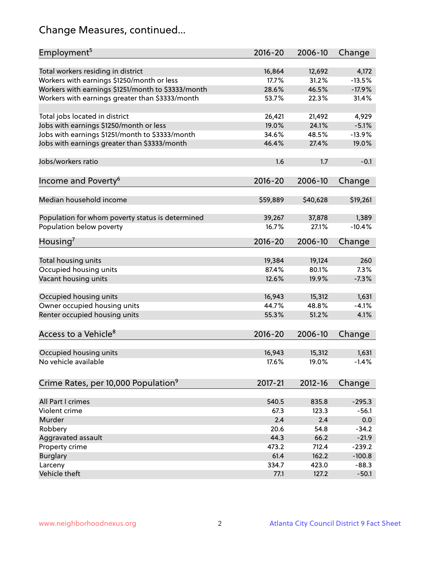# Change Measures, continued...

| Employment <sup>5</sup>                            | $2016 - 20$ | 2006-10     | Change   |
|----------------------------------------------------|-------------|-------------|----------|
|                                                    |             |             |          |
| Total workers residing in district                 | 16,864      | 12,692      | 4,172    |
| Workers with earnings \$1250/month or less         | 17.7%       | 31.2%       | $-13.5%$ |
| Workers with earnings \$1251/month to \$3333/month | 28.6%       | 46.5%       | $-17.9%$ |
| Workers with earnings greater than \$3333/month    | 53.7%       | 22.3%       | 31.4%    |
| Total jobs located in district                     | 26,421      | 21,492      | 4,929    |
| Jobs with earnings \$1250/month or less            | 19.0%       | 24.1%       | $-5.1%$  |
| Jobs with earnings \$1251/month to \$3333/month    | 34.6%       | 48.5%       | $-13.9%$ |
| Jobs with earnings greater than \$3333/month       | 46.4%       | 27.4%       | 19.0%    |
|                                                    |             |             |          |
| Jobs/workers ratio                                 | 1.6         | 1.7         | $-0.1$   |
| Income and Poverty <sup>6</sup>                    | $2016 - 20$ | 2006-10     | Change   |
|                                                    |             |             |          |
| Median household income                            | \$59,889    | \$40,628    | \$19,261 |
|                                                    |             |             |          |
| Population for whom poverty status is determined   | 39,267      | 37,878      | 1,389    |
| Population below poverty                           | 16.7%       | 27.1%       | $-10.4%$ |
|                                                    |             |             |          |
| Housing <sup>7</sup>                               | $2016 - 20$ | 2006-10     | Change   |
| Total housing units                                | 19,384      | 19,124      | 260      |
| Occupied housing units                             | 87.4%       | 80.1%       | 7.3%     |
| Vacant housing units                               | 12.6%       | 19.9%       | $-7.3%$  |
|                                                    |             |             |          |
| Occupied housing units                             | 16,943      | 15,312      | 1,631    |
| Owner occupied housing units                       | 44.7%       | 48.8%       | $-4.1%$  |
| Renter occupied housing units                      | 55.3%       | 51.2%       | 4.1%     |
|                                                    |             |             |          |
| Access to a Vehicle <sup>8</sup>                   | $2016 - 20$ | 2006-10     | Change   |
|                                                    |             |             |          |
| Occupied housing units                             | 16,943      | 15,312      | 1,631    |
| No vehicle available                               | 17.6%       | 19.0%       | $-1.4%$  |
|                                                    |             |             |          |
| Crime Rates, per 10,000 Population <sup>9</sup>    | 2017-21     | $2012 - 16$ | Change   |
|                                                    |             |             |          |
| All Part I crimes                                  | 540.5       | 835.8       | $-295.3$ |
| Violent crime                                      | 67.3        | 123.3       | $-56.1$  |
| Murder                                             | 2.4         | 2.4         | 0.0      |
| Robbery                                            | 20.6        | 54.8        | $-34.2$  |
| Aggravated assault                                 | 44.3        | 66.2        | $-21.9$  |
| Property crime                                     | 473.2       | 712.4       | $-239.2$ |
| <b>Burglary</b>                                    | 61.4        | 162.2       | $-100.8$ |
| Larceny                                            | 334.7       | 423.0       | $-88.3$  |
| Vehicle theft                                      | 77.1        | 127.2       | $-50.1$  |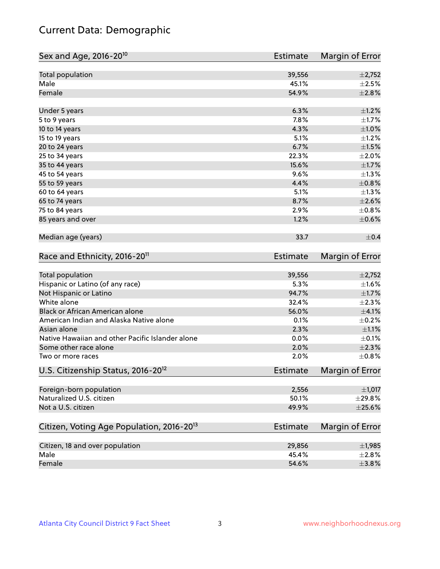# Current Data: Demographic

| Sex and Age, 2016-20 <sup>10</sup>                    | <b>Estimate</b> | Margin of Error |
|-------------------------------------------------------|-----------------|-----------------|
| Total population                                      | 39,556          | $\pm$ 2,752     |
| Male                                                  | 45.1%           | $\pm 2.5\%$     |
| Female                                                | 54.9%           | ±2.8%           |
| Under 5 years                                         | 6.3%            | $\pm 1.2\%$     |
| 5 to 9 years                                          | 7.8%            | $\pm1.7\%$      |
| 10 to 14 years                                        | 4.3%            | $\pm1.0\%$      |
| 15 to 19 years                                        | 5.1%            | $\pm 1.2\%$     |
| 20 to 24 years                                        | 6.7%            | $\pm 1.5\%$     |
| 25 to 34 years                                        | 22.3%           | $\pm 2.0\%$     |
| 35 to 44 years                                        | 15.6%           | $\pm1.7\%$      |
| 45 to 54 years                                        | 9.6%            | $\pm$ 1.3%      |
| 55 to 59 years                                        | 4.4%            | $\pm 0.8\%$     |
| 60 to 64 years                                        | 5.1%            | $\pm 1.3\%$     |
| 65 to 74 years                                        | 8.7%            | $\pm 2.6\%$     |
| 75 to 84 years                                        | 2.9%            | ±0.8%           |
| 85 years and over                                     | 1.2%            | $\pm$ 0.6%      |
| Median age (years)                                    | 33.7            | $\pm$ 0.4       |
| Race and Ethnicity, 2016-20 <sup>11</sup>             | <b>Estimate</b> | Margin of Error |
| <b>Total population</b>                               | 39,556          | $\pm$ 2,752     |
| Hispanic or Latino (of any race)                      | 5.3%            | $\pm1.6\%$      |
| Not Hispanic or Latino                                | 94.7%           | $\pm 1.7\%$     |
| White alone                                           | 32.4%           | $\pm 2.3\%$     |
| Black or African American alone                       | 56.0%           | $\pm 4.1\%$     |
| American Indian and Alaska Native alone               | 0.1%            | $\pm$ 0.2%      |
| Asian alone                                           | 2.3%            | $\pm 1.1\%$     |
| Native Hawaiian and other Pacific Islander alone      | 0.0%            | $\pm$ 0.1%      |
| Some other race alone                                 | 2.0%            | $\pm 2.3\%$     |
| Two or more races                                     | 2.0%            | ±0.8%           |
| U.S. Citizenship Status, 2016-20 <sup>12</sup>        | <b>Estimate</b> | Margin of Error |
| Foreign-born population                               | 2,556           | $\pm$ 1,017     |
| Naturalized U.S. citizen                              | 50.1%           | $\pm$ 29.8%     |
| Not a U.S. citizen                                    | 49.9%           | $\pm 25.6\%$    |
| Citizen, Voting Age Population, 2016-20 <sup>13</sup> | <b>Estimate</b> | Margin of Error |
| Citizen, 18 and over population                       | 29,856          | $\pm$ 1,985     |
| Male                                                  | 45.4%           | $\pm 2.8\%$     |
| Female                                                | 54.6%           | $\pm$ 3.8%      |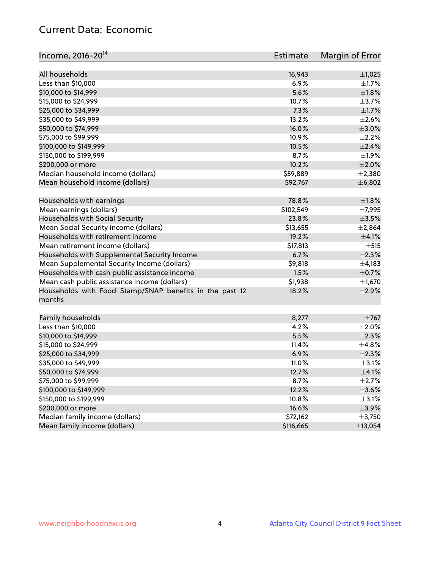## Current Data: Economic

| Income, 2016-20 <sup>14</sup>                           | <b>Estimate</b> | Margin of Error |
|---------------------------------------------------------|-----------------|-----------------|
| All households                                          | 16,943          | $\pm$ 1,025     |
| Less than \$10,000                                      | 6.9%            | $\pm 1.7\%$     |
| \$10,000 to \$14,999                                    | 5.6%            | ±1.8%           |
|                                                         |                 |                 |
| \$15,000 to \$24,999                                    | 10.7%           | $\pm$ 3.7%      |
| \$25,000 to \$34,999                                    | 7.3%            | $\pm 1.7\%$     |
| \$35,000 to \$49,999                                    | 13.2%           | $\pm 2.6\%$     |
| \$50,000 to \$74,999                                    | 16.0%           | $\pm 3.0\%$     |
| \$75,000 to \$99,999                                    | 10.9%           | $\pm 2.2\%$     |
| \$100,000 to \$149,999                                  | 10.5%           | $\pm 2.4\%$     |
| \$150,000 to \$199,999                                  | 8.7%            | ±1.9%           |
| \$200,000 or more                                       | 10.2%           | $\pm 2.0\%$     |
| Median household income (dollars)                       | \$59,889        | $\pm 2,380$     |
| Mean household income (dollars)                         | \$92,767        | ±6,802          |
| Households with earnings                                | 78.8%           | $\pm 1.8\%$     |
| Mean earnings (dollars)                                 | \$102,549       | ±7,995          |
| Households with Social Security                         | 23.8%           | $\pm$ 3.5%      |
| Mean Social Security income (dollars)                   | \$13,655        | ±2,864          |
| Households with retirement income                       | 19.2%           | $\pm 4.1\%$     |
| Mean retirement income (dollars)                        | \$17,813        | ±515            |
| Households with Supplemental Security Income            | 6.7%            | $\pm 2.3\%$     |
| Mean Supplemental Security Income (dollars)             | \$9,818         | $\pm$ 4,183     |
| Households with cash public assistance income           | 1.5%            | $\pm$ 0.7%      |
| Mean cash public assistance income (dollars)            | \$1,938         | $\pm$ 1,670     |
| Households with Food Stamp/SNAP benefits in the past 12 | 18.2%           | $\pm 2.9\%$     |
| months                                                  |                 |                 |
|                                                         |                 | $\pm 767$       |
| Family households                                       | 8,277           |                 |
| Less than \$10,000                                      | 4.2%            | $\pm 2.0\%$     |
| \$10,000 to \$14,999                                    | 5.5%            | $\pm 2.3\%$     |
| \$15,000 to \$24,999                                    | 11.4%           | $\pm$ 4.8%      |
| \$25,000 to \$34,999                                    | 6.9%            | $\pm 2.3\%$     |
| \$35,000 to \$49,999                                    | 11.0%           | $\pm$ 3.1%      |
| \$50,000 to \$74,999                                    | 12.7%           | $\pm$ 4.1%      |
| \$75,000 to \$99,999                                    | 8.7%            | $\pm$ 2.7%      |
| \$100,000 to \$149,999                                  | 12.2%           | $\pm 3.6\%$     |
| \$150,000 to \$199,999                                  | 10.8%           | $\pm$ 3.1%      |
| \$200,000 or more                                       | 16.6%           | $\pm$ 3.9%      |
| Median family income (dollars)                          | \$72,162        | ±3,750          |
| Mean family income (dollars)                            | \$116,665       | ±13,054         |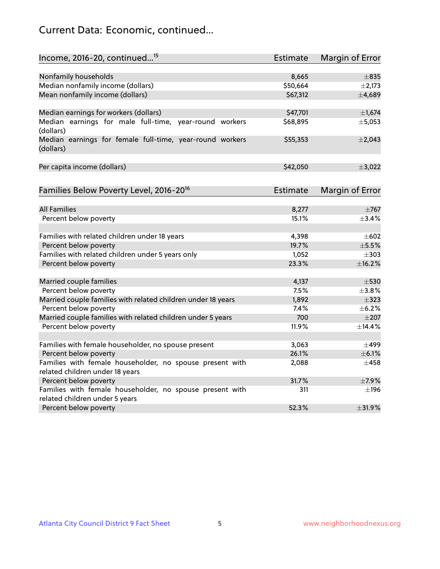# Current Data: Economic, continued...

| Income, 2016-20, continued <sup>15</sup>                              | <b>Estimate</b>   | Margin of Error |
|-----------------------------------------------------------------------|-------------------|-----------------|
|                                                                       |                   |                 |
| Nonfamily households                                                  | 8,665<br>\$50,664 | $\pm$ 835       |
| Median nonfamily income (dollars)<br>Mean nonfamily income (dollars)  | \$67,312          | $\pm 2,173$     |
|                                                                       |                   | ±4,689          |
| Median earnings for workers (dollars)                                 | \$47,701          | $\pm$ 1,674     |
| Median earnings for male full-time, year-round workers<br>(dollars)   | \$68,895          | ±5,053          |
| Median earnings for female full-time, year-round workers<br>(dollars) | \$55,353          | $\pm 2,043$     |
| Per capita income (dollars)                                           | \$42,050          | ±3,022          |
| Families Below Poverty Level, 2016-20 <sup>16</sup>                   | <b>Estimate</b>   | Margin of Error |
|                                                                       |                   |                 |
| <b>All Families</b>                                                   | 8,277             | $\pm 767$       |
| Percent below poverty                                                 | 15.1%             | ±3.4%           |
| Families with related children under 18 years                         | 4,398             | $\pm 602$       |
| Percent below poverty                                                 | 19.7%             | $\pm$ 5.5%      |
| Families with related children under 5 years only                     | 1,052             | $\pm$ 303       |
| Percent below poverty                                                 | 23.3%             | ±16.2%          |
| Married couple families                                               | 4,137             | $\pm$ 530       |
| Percent below poverty                                                 | 7.5%              | $+3.8%$         |
| Married couple families with related children under 18 years          | 1,892             | $\pm$ 323       |
| Percent below poverty                                                 | 7.4%              | $\pm$ 6.2%      |
| Married couple families with related children under 5 years           | 700               | $\pm 207$       |
| Percent below poverty                                                 | 11.9%             | ±14.4%          |
| Families with female householder, no spouse present                   | 3,063             | $\pm$ 499       |
| Percent below poverty                                                 | 26.1%             | $\pm$ 6.1%      |
| Families with female householder, no spouse present with              | 2,088             | $\pm 458$       |
| related children under 18 years                                       |                   |                 |
| Percent below poverty                                                 | 31.7%             | $\pm$ 7.9%      |
| Families with female householder, no spouse present with              | 311               | $\pm$ 196       |
| related children under 5 years                                        |                   |                 |
| Percent below poverty                                                 | 52.3%             | ±31.9%          |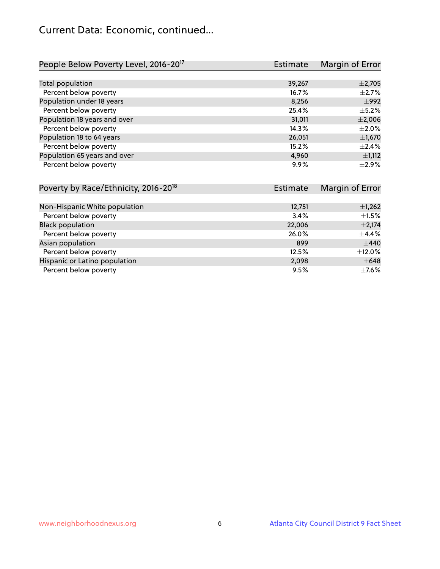## Current Data: Economic, continued...

| People Below Poverty Level, 2016-20 <sup>17</sup> | <b>Estimate</b> | Margin of Error |
|---------------------------------------------------|-----------------|-----------------|
|                                                   |                 |                 |
| Total population                                  | 39,267          | $\pm$ 2,705     |
| Percent below poverty                             | 16.7%           | $\pm 2.7\%$     |
| Population under 18 years                         | 8,256           | $\pm$ 992       |
| Percent below poverty                             | 25.4%           | $\pm$ 5.2%      |
| Population 18 years and over                      | 31,011          | $\pm 2,006$     |
| Percent below poverty                             | 14.3%           | $\pm 2.0\%$     |
| Population 18 to 64 years                         | 26,051          | $\pm$ 1,670     |
| Percent below poverty                             | 15.2%           | ±2.4%           |
| Population 65 years and over                      | 4,960           | $\pm$ 1,112     |
| Percent below poverty                             | 9.9%            | $\pm 2.9\%$     |

| Poverty by Race/Ethnicity, 2016-20 <sup>18</sup> | <b>Estimate</b> | Margin of Error |
|--------------------------------------------------|-----------------|-----------------|
|                                                  |                 |                 |
| Non-Hispanic White population                    | 12,751          | $\pm$ 1,262     |
| Percent below poverty                            | 3.4%            | $\pm 1.5\%$     |
| <b>Black population</b>                          | 22,006          | $\pm 2,174$     |
| Percent below poverty                            | 26.0%           | $\pm$ 4.4%      |
| Asian population                                 | 899             | $\pm$ 440       |
| Percent below poverty                            | 12.5%           | $\pm$ 12.0%     |
| Hispanic or Latino population                    | 2,098           | $\pm 648$       |
| Percent below poverty                            | 9.5%            | $\pm$ 7.6%      |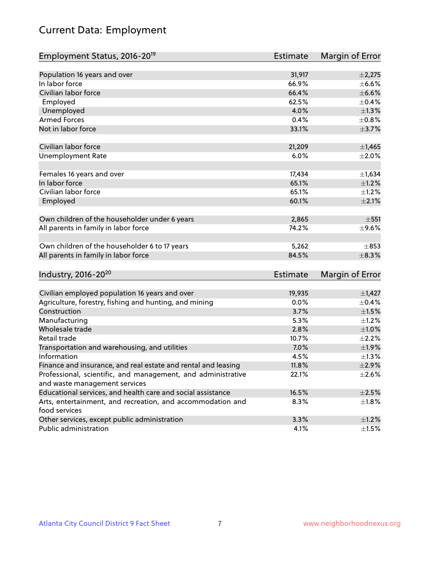# Current Data: Employment

| Population 16 years and over<br>31,917<br>$\pm$ 2,275<br>In labor force<br>66.9%<br>Civilian labor force<br>66.4%<br>$\pm$ 6.6%<br>62.5%<br>Employed<br>4.0%<br>$\pm$ 1.3%<br>Unemployed<br><b>Armed Forces</b><br>0.4%<br>$\pm$ 0.8%<br>Not in labor force<br>33.1%<br>Civilian labor force<br>21,209<br><b>Unemployment Rate</b><br>6.0%<br>Females 16 years and over<br>17,434<br>In labor force<br>65.1%<br>Civilian labor force<br>65.1%<br>$\pm 2.1\%$<br>Employed<br>60.1%<br>Own children of the householder under 6 years<br>2,865<br>All parents in family in labor force<br>74.2%<br>Own children of the householder 6 to 17 years<br>5,262<br>All parents in family in labor force<br>84.5%<br>$\pm$ 8.3%<br>Industry, 2016-20 <sup>20</sup><br>Estimate<br>Civilian employed population 16 years and over<br>19,935<br>Agriculture, forestry, fishing and hunting, and mining<br>0.0%<br>Construction<br>3.7%<br>Manufacturing<br>5.3% |
|-----------------------------------------------------------------------------------------------------------------------------------------------------------------------------------------------------------------------------------------------------------------------------------------------------------------------------------------------------------------------------------------------------------------------------------------------------------------------------------------------------------------------------------------------------------------------------------------------------------------------------------------------------------------------------------------------------------------------------------------------------------------------------------------------------------------------------------------------------------------------------------------------------------------------------------------------------|
|                                                                                                                                                                                                                                                                                                                                                                                                                                                                                                                                                                                                                                                                                                                                                                                                                                                                                                                                                     |
| $\pm$ 6.6%<br>$\pm$ 0.4%<br>±3.7%<br>$\pm$ 1,465<br>$\pm 2.0\%$<br>$\pm$ 1,634<br>$\pm 1.2\%$<br>$\pm 1.2\%$<br>$\pm$ 551<br>$\pm$ 9.6%<br>$\pm$ 853<br>Margin of Error<br>$\pm$ 1,427<br>$\pm$ 0.4%<br>$\pm 1.5\%$<br>$\pm$ 1.2%                                                                                                                                                                                                                                                                                                                                                                                                                                                                                                                                                                                                                                                                                                                   |
|                                                                                                                                                                                                                                                                                                                                                                                                                                                                                                                                                                                                                                                                                                                                                                                                                                                                                                                                                     |
|                                                                                                                                                                                                                                                                                                                                                                                                                                                                                                                                                                                                                                                                                                                                                                                                                                                                                                                                                     |
|                                                                                                                                                                                                                                                                                                                                                                                                                                                                                                                                                                                                                                                                                                                                                                                                                                                                                                                                                     |
|                                                                                                                                                                                                                                                                                                                                                                                                                                                                                                                                                                                                                                                                                                                                                                                                                                                                                                                                                     |
|                                                                                                                                                                                                                                                                                                                                                                                                                                                                                                                                                                                                                                                                                                                                                                                                                                                                                                                                                     |
|                                                                                                                                                                                                                                                                                                                                                                                                                                                                                                                                                                                                                                                                                                                                                                                                                                                                                                                                                     |
|                                                                                                                                                                                                                                                                                                                                                                                                                                                                                                                                                                                                                                                                                                                                                                                                                                                                                                                                                     |
|                                                                                                                                                                                                                                                                                                                                                                                                                                                                                                                                                                                                                                                                                                                                                                                                                                                                                                                                                     |
|                                                                                                                                                                                                                                                                                                                                                                                                                                                                                                                                                                                                                                                                                                                                                                                                                                                                                                                                                     |
|                                                                                                                                                                                                                                                                                                                                                                                                                                                                                                                                                                                                                                                                                                                                                                                                                                                                                                                                                     |
|                                                                                                                                                                                                                                                                                                                                                                                                                                                                                                                                                                                                                                                                                                                                                                                                                                                                                                                                                     |
|                                                                                                                                                                                                                                                                                                                                                                                                                                                                                                                                                                                                                                                                                                                                                                                                                                                                                                                                                     |
|                                                                                                                                                                                                                                                                                                                                                                                                                                                                                                                                                                                                                                                                                                                                                                                                                                                                                                                                                     |
|                                                                                                                                                                                                                                                                                                                                                                                                                                                                                                                                                                                                                                                                                                                                                                                                                                                                                                                                                     |
|                                                                                                                                                                                                                                                                                                                                                                                                                                                                                                                                                                                                                                                                                                                                                                                                                                                                                                                                                     |
|                                                                                                                                                                                                                                                                                                                                                                                                                                                                                                                                                                                                                                                                                                                                                                                                                                                                                                                                                     |
|                                                                                                                                                                                                                                                                                                                                                                                                                                                                                                                                                                                                                                                                                                                                                                                                                                                                                                                                                     |
|                                                                                                                                                                                                                                                                                                                                                                                                                                                                                                                                                                                                                                                                                                                                                                                                                                                                                                                                                     |
|                                                                                                                                                                                                                                                                                                                                                                                                                                                                                                                                                                                                                                                                                                                                                                                                                                                                                                                                                     |
|                                                                                                                                                                                                                                                                                                                                                                                                                                                                                                                                                                                                                                                                                                                                                                                                                                                                                                                                                     |
|                                                                                                                                                                                                                                                                                                                                                                                                                                                                                                                                                                                                                                                                                                                                                                                                                                                                                                                                                     |
|                                                                                                                                                                                                                                                                                                                                                                                                                                                                                                                                                                                                                                                                                                                                                                                                                                                                                                                                                     |
|                                                                                                                                                                                                                                                                                                                                                                                                                                                                                                                                                                                                                                                                                                                                                                                                                                                                                                                                                     |
|                                                                                                                                                                                                                                                                                                                                                                                                                                                                                                                                                                                                                                                                                                                                                                                                                                                                                                                                                     |
|                                                                                                                                                                                                                                                                                                                                                                                                                                                                                                                                                                                                                                                                                                                                                                                                                                                                                                                                                     |
|                                                                                                                                                                                                                                                                                                                                                                                                                                                                                                                                                                                                                                                                                                                                                                                                                                                                                                                                                     |
| Wholesale trade<br>2.8%<br>$\pm1.0\%$                                                                                                                                                                                                                                                                                                                                                                                                                                                                                                                                                                                                                                                                                                                                                                                                                                                                                                               |
| Retail trade<br>$\pm 2.2\%$<br>10.7%                                                                                                                                                                                                                                                                                                                                                                                                                                                                                                                                                                                                                                                                                                                                                                                                                                                                                                                |
| 7.0%<br>$\pm$ 1.9%<br>Transportation and warehousing, and utilities                                                                                                                                                                                                                                                                                                                                                                                                                                                                                                                                                                                                                                                                                                                                                                                                                                                                                 |
| Information<br>4.5%<br>$\pm 1.3\%$                                                                                                                                                                                                                                                                                                                                                                                                                                                                                                                                                                                                                                                                                                                                                                                                                                                                                                                  |
| Finance and insurance, and real estate and rental and leasing<br>11.8%<br>$\pm 2.9\%$                                                                                                                                                                                                                                                                                                                                                                                                                                                                                                                                                                                                                                                                                                                                                                                                                                                               |
| Professional, scientific, and management, and administrative<br>22.1%<br>$\pm 2.6\%$                                                                                                                                                                                                                                                                                                                                                                                                                                                                                                                                                                                                                                                                                                                                                                                                                                                                |
| and waste management services                                                                                                                                                                                                                                                                                                                                                                                                                                                                                                                                                                                                                                                                                                                                                                                                                                                                                                                       |
| Educational services, and health care and social assistance<br>16.5%<br>$\pm 2.5\%$                                                                                                                                                                                                                                                                                                                                                                                                                                                                                                                                                                                                                                                                                                                                                                                                                                                                 |
| Arts, entertainment, and recreation, and accommodation and<br>8.3%<br>$\pm 1.8\%$<br>food services                                                                                                                                                                                                                                                                                                                                                                                                                                                                                                                                                                                                                                                                                                                                                                                                                                                  |
| Other services, except public administration<br>3.3%<br>$\pm 1.2\%$                                                                                                                                                                                                                                                                                                                                                                                                                                                                                                                                                                                                                                                                                                                                                                                                                                                                                 |
| Public administration<br>4.1%<br>$\pm$ 1.5%                                                                                                                                                                                                                                                                                                                                                                                                                                                                                                                                                                                                                                                                                                                                                                                                                                                                                                         |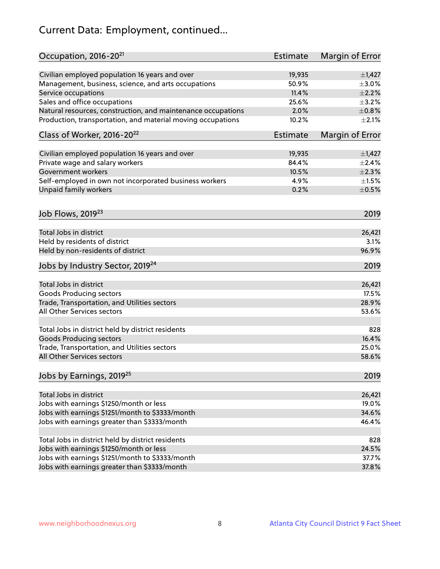# Current Data: Employment, continued...

| Occupation, 2016-20 <sup>21</sup>                                                 | Estimate        | Margin of Error |
|-----------------------------------------------------------------------------------|-----------------|-----------------|
| Civilian employed population 16 years and over                                    | 19,935          | $\pm$ 1,427     |
| Management, business, science, and arts occupations                               | 50.9%           | $\pm 3.0\%$     |
| Service occupations                                                               | 11.4%           | $\pm 2.2\%$     |
| Sales and office occupations                                                      | 25.6%           | $\pm$ 3.2%      |
| Natural resources, construction, and maintenance occupations                      | 2.0%            | $\pm 0.8\%$     |
| Production, transportation, and material moving occupations                       | 10.2%           | $\pm 2.1\%$     |
| Class of Worker, 2016-20 <sup>22</sup>                                            | Estimate        | Margin of Error |
|                                                                                   |                 | $\pm$ 1,427     |
| Civilian employed population 16 years and over<br>Private wage and salary workers | 19,935<br>84.4% | ±2.4%           |
| Government workers                                                                | 10.5%           | ±2.3%           |
|                                                                                   |                 |                 |
| Self-employed in own not incorporated business workers                            | 4.9%            | $\pm 1.5\%$     |
| Unpaid family workers                                                             | 0.2%            | $\pm$ 0.5%      |
| Job Flows, 2019 <sup>23</sup>                                                     |                 | 2019            |
| Total Jobs in district                                                            |                 | 26,421          |
| Held by residents of district                                                     |                 | 3.1%            |
| Held by non-residents of district                                                 |                 | 96.9%           |
| Jobs by Industry Sector, 2019 <sup>24</sup>                                       |                 | 2019            |
| Total Jobs in district                                                            |                 | 26,421          |
| <b>Goods Producing sectors</b>                                                    |                 | 17.5%           |
| Trade, Transportation, and Utilities sectors                                      |                 | 28.9%           |
| All Other Services sectors                                                        |                 | 53.6%           |
|                                                                                   |                 |                 |
| Total Jobs in district held by district residents                                 |                 | 828             |
| <b>Goods Producing sectors</b>                                                    |                 | 16.4%           |
| Trade, Transportation, and Utilities sectors                                      |                 | 25.0%           |
| All Other Services sectors                                                        |                 | 58.6%           |
| Jobs by Earnings, 2019 <sup>25</sup>                                              |                 | 2019            |
| Total Jobs in district                                                            |                 | 26,421          |
| Jobs with earnings \$1250/month or less                                           |                 | 19.0%           |
| Jobs with earnings \$1251/month to \$3333/month                                   |                 | 34.6%           |
| Jobs with earnings greater than \$3333/month                                      |                 | 46.4%           |
|                                                                                   |                 |                 |
| Total Jobs in district held by district residents                                 |                 | 828             |
| Jobs with earnings \$1250/month or less                                           |                 | 24.5%           |
| Jobs with earnings \$1251/month to \$3333/month                                   |                 | 37.7%           |
| Jobs with earnings greater than \$3333/month                                      |                 | 37.8%           |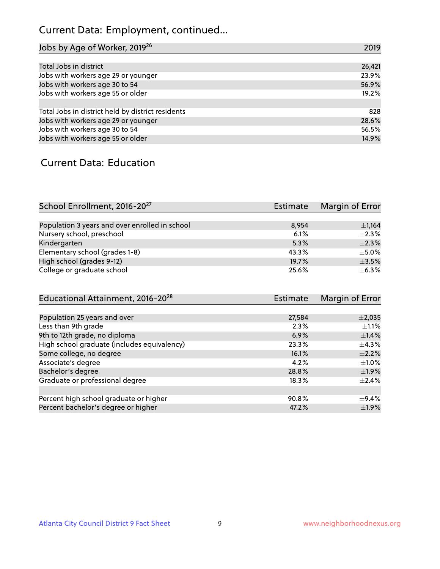# Current Data: Employment, continued...

| Jobs by Age of Worker, 2019 <sup>26</sup>         | 2019   |
|---------------------------------------------------|--------|
|                                                   |        |
| Total Jobs in district                            | 26,421 |
| Jobs with workers age 29 or younger               | 23.9%  |
| Jobs with workers age 30 to 54                    | 56.9%  |
| Jobs with workers age 55 or older                 | 19.2%  |
|                                                   |        |
| Total Jobs in district held by district residents | 828    |
| Jobs with workers age 29 or younger               | 28.6%  |
| Jobs with workers age 30 to 54                    | 56.5%  |
| Jobs with workers age 55 or older                 | 14.9%  |

#### Current Data: Education

| School Enrollment, 2016-20 <sup>27</sup>       | Estimate | Margin of Error |
|------------------------------------------------|----------|-----------------|
|                                                |          |                 |
| Population 3 years and over enrolled in school | 8.954    | $\pm$ 1,164     |
| Nursery school, preschool                      | 6.1%     | $\pm 2.3\%$     |
| Kindergarten                                   | 5.3%     | $+2.3%$         |
| Elementary school (grades 1-8)                 | 43.3%    | $\pm$ 5.0%      |
| High school (grades 9-12)                      | 19.7%    | $\pm$ 3.5%      |
| College or graduate school                     | 25.6%    | $\pm$ 6.3%      |

| Educational Attainment, 2016-20 <sup>28</sup> | <b>Estimate</b> | Margin of Error |
|-----------------------------------------------|-----------------|-----------------|
|                                               |                 |                 |
| Population 25 years and over                  | 27,584          | $\pm 2,035$     |
| Less than 9th grade                           | 2.3%            | $\pm 1.1\%$     |
| 9th to 12th grade, no diploma                 | 6.9%            | $\pm$ 1.4%      |
| High school graduate (includes equivalency)   | 23.3%           | $\pm$ 4.3%      |
| Some college, no degree                       | 16.1%           | $\pm 2.2\%$     |
| Associate's degree                            | 4.2%            | $\pm 1.0\%$     |
| Bachelor's degree                             | 28.8%           | $\pm$ 1.9%      |
| Graduate or professional degree               | 18.3%           | $\pm 2.4\%$     |
|                                               |                 |                 |
| Percent high school graduate or higher        | 90.8%           | $\pm$ 9.4%      |
| Percent bachelor's degree or higher           | 47.2%           | $\pm$ 1.9%      |
|                                               |                 |                 |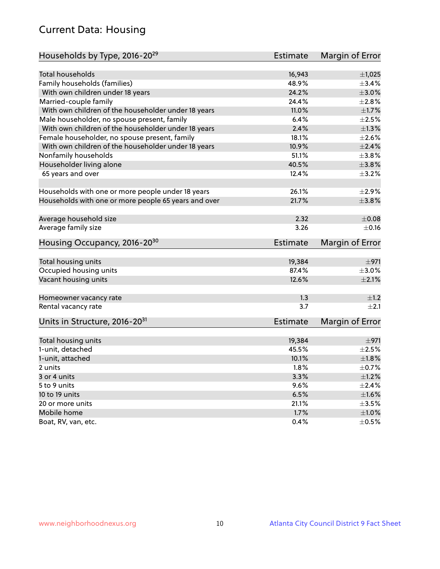# Current Data: Housing

| Households by Type, 2016-20 <sup>29</sup>            | <b>Estimate</b> | Margin of Error |
|------------------------------------------------------|-----------------|-----------------|
|                                                      |                 |                 |
| <b>Total households</b>                              | 16,943          | $\pm$ 1,025     |
| Family households (families)                         | 48.9%           | $\pm$ 3.4%      |
| With own children under 18 years                     | 24.2%           | $\pm 3.0\%$     |
| Married-couple family                                | 24.4%           | ±2.8%           |
| With own children of the householder under 18 years  | 11.0%           | $\pm1.7\%$      |
| Male householder, no spouse present, family          | 6.4%            | $\pm 2.5\%$     |
| With own children of the householder under 18 years  | 2.4%            | $\pm$ 1.3%      |
| Female householder, no spouse present, family        | 18.1%           | $\pm 2.6\%$     |
| With own children of the householder under 18 years  | 10.9%           | $\pm 2.4\%$     |
| Nonfamily households                                 | 51.1%           | $\pm$ 3.8%      |
| Householder living alone                             | 40.5%           | $\pm 3.8\%$     |
| 65 years and over                                    | 12.4%           | $\pm$ 3.2%      |
|                                                      |                 |                 |
| Households with one or more people under 18 years    | 26.1%           | $\pm 2.9\%$     |
| Households with one or more people 65 years and over | 21.7%           | $\pm$ 3.8%      |
|                                                      |                 |                 |
| Average household size                               | 2.32            | $\pm 0.08$      |
| Average family size                                  | 3.26            | $\pm$ 0.16      |
| Housing Occupancy, 2016-20 <sup>30</sup>             | <b>Estimate</b> | Margin of Error |
| Total housing units                                  | 19,384          | $\pm$ 971       |
| Occupied housing units                               | 87.4%           | $\pm 3.0\%$     |
| Vacant housing units                                 | 12.6%           | $\pm 2.1\%$     |
|                                                      |                 |                 |
| Homeowner vacancy rate                               | 1.3             | ±1.2            |
| Rental vacancy rate                                  | 3.7             | $\pm 2.1$       |
| Units in Structure, 2016-20 <sup>31</sup>            | <b>Estimate</b> | Margin of Error |
| Total housing units                                  | 19,384          | $\pm$ 971       |
| 1-unit, detached                                     | 45.5%           | $\pm 2.5\%$     |
| 1-unit, attached                                     | 10.1%           | $\pm1.8\%$      |
| 2 units                                              | 1.8%            | $\pm$ 0.7%      |
|                                                      | 3.3%            | ±1.2%           |
| 3 or 4 units                                         |                 |                 |
| 5 to 9 units                                         | 9.6%            | $\pm 2.4\%$     |
| 10 to 19 units                                       | 6.5%            | $\pm1.6\%$      |
| 20 or more units                                     | 21.1%           | $\pm$ 3.5%      |
| Mobile home                                          | 1.7%            | $\pm1.0\%$      |
| Boat, RV, van, etc.                                  | $0.4\%$         | $\pm$ 0.5%      |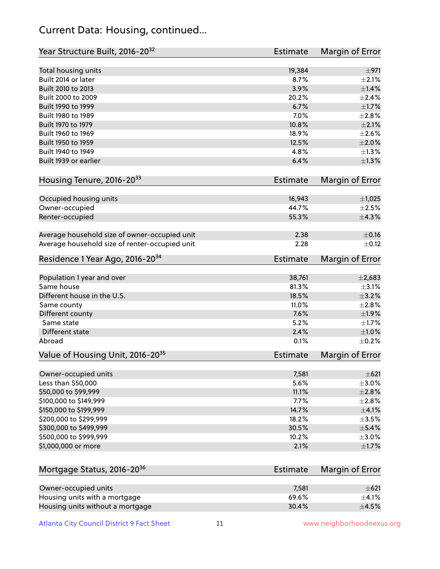## Current Data: Housing, continued...

| Year Structure Built, 2016-20 <sup>32</sup>    | Estimate        | <b>Margin of Error</b> |
|------------------------------------------------|-----------------|------------------------|
| Total housing units                            | 19,384          | $\pm$ 971              |
| Built 2014 or later                            | 8.7%            | $\pm 2.1\%$            |
| Built 2010 to 2013                             | 3.9%            | ±1.4%                  |
| Built 2000 to 2009                             | 20.2%           | $\pm 2.4\%$            |
| Built 1990 to 1999                             | 6.7%            | $\pm1.7\%$             |
| Built 1980 to 1989                             | 7.0%            | ±2.8%                  |
| Built 1970 to 1979                             | 10.8%           | $\pm 2.1\%$            |
| Built 1960 to 1969                             | 18.9%           | ±2.6%                  |
| Built 1950 to 1959                             | 12.5%           | $\pm 2.0\%$            |
| Built 1940 to 1949                             | 4.8%            | ±1.3%                  |
| Built 1939 or earlier                          | 6.4%            | ±1.3%                  |
| Housing Tenure, 2016-2033                      | Estimate        | Margin of Error        |
| Occupied housing units                         | 16,943          | $\pm$ 1,025            |
| Owner-occupied                                 | 44.7%           | $\pm 2.5\%$            |
| Renter-occupied                                | 55.3%           | ±4.3%                  |
| Average household size of owner-occupied unit  | 2.38            | $\pm$ 0.16             |
| Average household size of renter-occupied unit | 2.28            | $\pm$ 0.12             |
| Residence 1 Year Ago, 2016-20 <sup>34</sup>    | <b>Estimate</b> | <b>Margin of Error</b> |
| Population 1 year and over                     | 38,761          | $\pm 2,683$            |
| Same house                                     | 81.3%           | $\pm$ 3.1%             |
| Different house in the U.S.                    | 18.5%           | $\pm$ 3.2%             |
| Same county                                    | 11.0%           | $\pm 2.8\%$            |
| Different county                               | 7.6%            | $\pm 1.9\%$            |
| Same state                                     | 5.2%            | $\pm1.7\%$             |
| Different state                                | 2.4%            | ±1.0%                  |
| Abroad                                         | 0.1%            | $\pm$ 0.2%             |
| Value of Housing Unit, 2016-20 <sup>35</sup>   | <b>Estimate</b> | Margin of Error        |
| Owner-occupied units                           | 7,581           | $\pm 621$              |
| Less than \$50,000                             | 5.6%            | $\pm$ 3.0%             |
| \$50,000 to \$99,999                           | 11.1%           | ±2.8%                  |
| \$100,000 to \$149,999                         | 7.7%            | ±2.8%                  |
| \$150,000 to \$199,999                         | 14.7%           | $\pm$ 4.1%             |
| \$200,000 to \$299,999                         | 18.2%           | $\pm$ 3.5%             |
| \$300,000 to \$499,999                         | 30.5%           | $\pm$ 5.4%             |
| \$500,000 to \$999,999                         | 10.2%           | $\pm 3.0\%$            |
| \$1,000,000 or more                            | 2.1%            | $\pm1.7\%$             |
| Mortgage Status, 2016-20 <sup>36</sup>         | <b>Estimate</b> | Margin of Error        |
| Owner-occupied units                           | 7,581           | $\pm 621$              |
| Housing units with a mortgage                  | 69.6%           | $\pm$ 4.1%             |

Housing units without a mortgage  $\pm 4.5\%$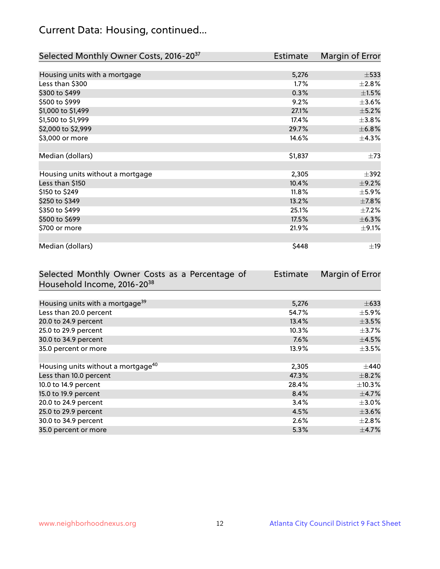# Current Data: Housing, continued...

| Selected Monthly Owner Costs, 2016-20 <sup>37</sup> | Estimate | Margin of Error |
|-----------------------------------------------------|----------|-----------------|
|                                                     |          |                 |
| Housing units with a mortgage                       | 5,276    | $\pm$ 533       |
| Less than \$300                                     | 1.7%     | $\pm 2.8\%$     |
| \$300 to \$499                                      | 0.3%     | $\pm 1.5\%$     |
| \$500 to \$999                                      | 9.2%     | $\pm$ 3.6%      |
| \$1,000 to \$1,499                                  | 27.1%    | $\pm$ 5.2%      |
| \$1,500 to \$1,999                                  | 17.4%    | $\pm$ 3.8%      |
| \$2,000 to \$2,999                                  | 29.7%    | ±6.8%           |
| \$3,000 or more                                     | 14.6%    | $\pm$ 4.3%      |
|                                                     |          |                 |
| Median (dollars)                                    | \$1,837  | $\pm 73$        |
|                                                     |          |                 |
| Housing units without a mortgage                    | 2,305    | $\pm$ 392       |
| Less than \$150                                     | 10.4%    | $\pm$ 9.2%      |
| \$150 to \$249                                      | 11.8%    | $\pm$ 5.9%      |
| \$250 to \$349                                      | 13.2%    | $\pm$ 7.8%      |
| \$350 to \$499                                      | 25.1%    | $\pm$ 7.2%      |
| \$500 to \$699                                      | 17.5%    | ±6.3%           |
| \$700 or more                                       | 21.9%    | $\pm$ 9.1%      |
|                                                     |          |                 |
| Median (dollars)                                    | \$448    | $\pm$ 19        |

| Selected Monthly Owner Costs as a Percentage of | <b>Estimate</b> | Margin of Error |
|-------------------------------------------------|-----------------|-----------------|
| Household Income, 2016-20 <sup>38</sup>         |                 |                 |
|                                                 |                 |                 |
| Housing units with a mortgage <sup>39</sup>     | 5,276           | $\pm 633$       |
| Less than 20.0 percent                          | 54.7%           | $\pm$ 5.9%      |
| 20.0 to 24.9 percent                            | 13.4%           | $\pm$ 3.5%      |
| 25.0 to 29.9 percent                            | 10.3%           | $\pm$ 3.7%      |
| 30.0 to 34.9 percent                            | 7.6%            | $\pm$ 4.5%      |
| 35.0 percent or more                            | 13.9%           | $\pm$ 3.5%      |
|                                                 |                 |                 |
| Housing units without a mortgage <sup>40</sup>  | 2,305           | $\pm$ 440       |
| Less than 10.0 percent                          | 47.3%           | $\pm$ 8.2%      |
| 10.0 to 14.9 percent                            | 28.4%           | $\pm$ 10.3%     |
| 15.0 to 19.9 percent                            | 8.4%            | $\pm$ 4.7%      |
| 20.0 to 24.9 percent                            | 3.4%            | $\pm 3.0\%$     |
| 25.0 to 29.9 percent                            | 4.5%            | $\pm$ 3.6%      |
| 30.0 to 34.9 percent                            | 2.6%            | $\pm 2.8\%$     |
| 35.0 percent or more                            | 5.3%            | $\pm$ 4.7%      |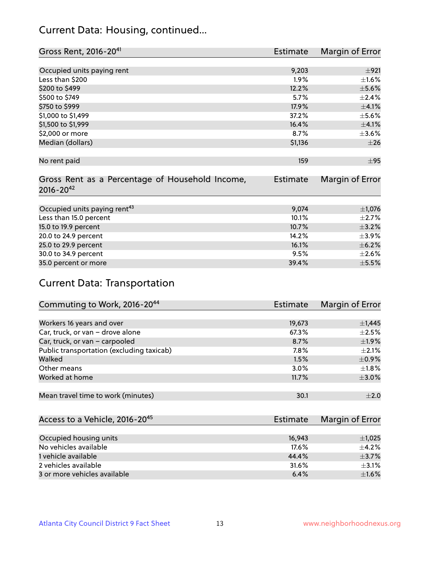## Current Data: Housing, continued...

| Gross Rent, 2016-20 <sup>41</sup>               | <b>Estimate</b> | Margin of Error |
|-------------------------------------------------|-----------------|-----------------|
|                                                 |                 |                 |
| Occupied units paying rent                      | 9,203           | ±921            |
| Less than \$200                                 | 1.9%            | $\pm 1.6\%$     |
| \$200 to \$499                                  | 12.2%           | $\pm$ 5.6%      |
| \$500 to \$749                                  | 5.7%            | $\pm 2.4\%$     |
| \$750 to \$999                                  | 17.9%           | $\pm 4.1\%$     |
| \$1,000 to \$1,499                              | 37.2%           | $\pm$ 5.6%      |
| \$1,500 to \$1,999                              | 16.4%           | $\pm$ 4.1%      |
| \$2,000 or more                                 | 8.7%            | $\pm 3.6\%$     |
| Median (dollars)                                | \$1,136         | ±26             |
|                                                 |                 |                 |
| No rent paid                                    | 159             | $\pm$ 95        |
|                                                 |                 |                 |
| Gross Rent as a Percentage of Household Income, | <b>Estimate</b> | Margin of Error |
| $2016 - 20^{42}$                                |                 |                 |
|                                                 |                 |                 |
| Occupied units paying rent <sup>43</sup>        | 9,074           | $\pm$ 1,076     |
| Less than 15.0 percent                          | 10.1%           | $\pm 2.7\%$     |
| 15.0 to 19.9 percent                            | 10.7%           | $\pm$ 3.2%      |
| 20.0 to 24.9 percent                            | 14.2%           | $\pm$ 3.9%      |
| 25.0 to 29.9 percent                            | 16.1%           | $\pm$ 6.2%      |
| 30.0 to 34.9 percent                            | 9.5%            | $\pm 2.6\%$     |
| 35.0 percent or more                            | 39.4%           | $\pm$ 5.5%      |

# Current Data: Transportation

| Commuting to Work, 2016-20 <sup>44</sup>  | <b>Estimate</b> | Margin of Error |
|-------------------------------------------|-----------------|-----------------|
|                                           |                 |                 |
| Workers 16 years and over                 | 19,673          | $\pm$ 1,445     |
| Car, truck, or van - drove alone          | 67.3%           | $\pm 2.5\%$     |
| Car, truck, or van - carpooled            | 8.7%            | $\pm$ 1.9%      |
| Public transportation (excluding taxicab) | $7.8\%$         | $+2.1%$         |
| Walked                                    | 1.5%            | $\pm$ 0.9%      |
| Other means                               | 3.0%            | $\pm 1.8\%$     |
| Worked at home                            | 11.7%           | $\pm 3.0\%$     |
|                                           |                 |                 |
| Mean travel time to work (minutes)        | 30.1            | $\pm 2.0$       |

| Access to a Vehicle, 2016-20 <sup>45</sup> | Estimate | Margin of Error |
|--------------------------------------------|----------|-----------------|
|                                            |          |                 |
| Occupied housing units                     | 16,943   | $\pm$ 1,025     |
| No vehicles available                      | 17.6%    | $+4.2%$         |
| 1 vehicle available                        | 44.4%    | $\pm$ 3.7%      |
| 2 vehicles available                       | 31.6%    | $\pm$ 3.1%      |
| 3 or more vehicles available               | 6.4%     | $+1.6%$         |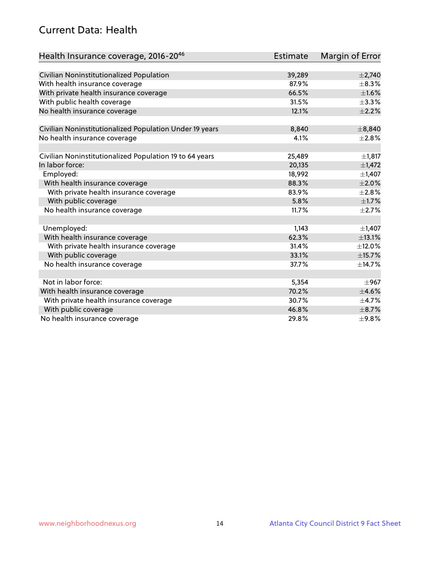## Current Data: Health

| Health Insurance coverage, 2016-2046                    | <b>Estimate</b> | Margin of Error |
|---------------------------------------------------------|-----------------|-----------------|
|                                                         |                 |                 |
| Civilian Noninstitutionalized Population                | 39,289          | $\pm 2,740$     |
| With health insurance coverage                          | 87.9%           | $\pm$ 8.3%      |
| With private health insurance coverage                  | 66.5%           | $\pm1.6\%$      |
| With public health coverage                             | 31.5%           | $\pm$ 3.3%      |
| No health insurance coverage                            | 12.1%           | $\pm 2.2\%$     |
| Civilian Noninstitutionalized Population Under 19 years | 8,840           | ±8,840          |
| No health insurance coverage                            | 4.1%            | $\pm 2.8\%$     |
|                                                         |                 |                 |
| Civilian Noninstitutionalized Population 19 to 64 years | 25,489          | ±1,817          |
| In labor force:                                         | 20,135          | $\pm$ 1,472     |
| Employed:                                               | 18,992          | $\pm$ 1,407     |
| With health insurance coverage                          | 88.3%           | $\pm 2.0\%$     |
| With private health insurance coverage                  | 83.9%           | $\pm 2.8\%$     |
| With public coverage                                    | 5.8%            | $\pm$ 1.7%      |
| No health insurance coverage                            | 11.7%           | $\pm 2.7\%$     |
|                                                         |                 |                 |
| Unemployed:                                             | 1,143           | $\pm$ 1,407     |
| With health insurance coverage                          | 62.3%           | ±13.1%          |
| With private health insurance coverage                  | 31.4%           | ±12.0%          |
| With public coverage                                    | 33.1%           | ±15.7%          |
| No health insurance coverage                            | 37.7%           | ±14.7%          |
|                                                         |                 |                 |
| Not in labor force:                                     | 5,354           | $\pm$ 967       |
| With health insurance coverage                          | 70.2%           | $\pm 4.6\%$     |
| With private health insurance coverage                  | 30.7%           | $\pm$ 4.7%      |
| With public coverage                                    | 46.8%           | $\pm$ 8.7%      |
| No health insurance coverage                            | 29.8%           | ±9.8%           |